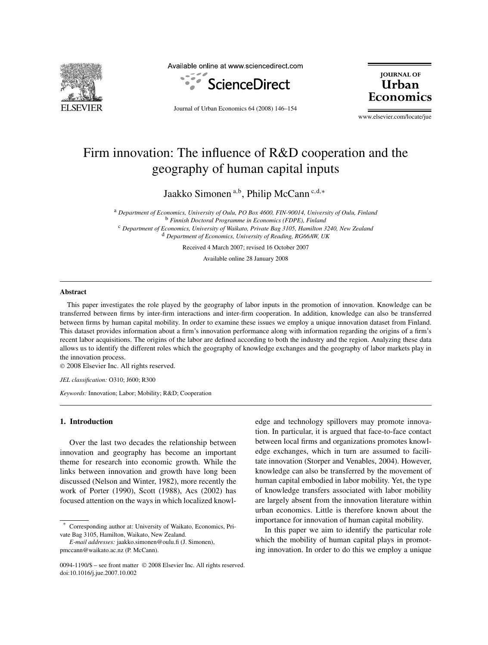

Available online at www.sciencedirect.com



Journal of Urban Economics 64 (2008) 146–154

**JOURNAL OF IIrhan** Economi

www.elsevier.com/locate/jue

## Firm innovation: The influence of R&D cooperation and the geography of human capital inputs

Jaakko Simonen <sup>a</sup>*,*<sup>b</sup> , Philip McCann <sup>c</sup>*,*d*,*<sup>∗</sup>

<sup>a</sup> *Department of Economics, University of Oulu, PO Box 4600, FIN-90014, University of Oulu, Finland* <sup>b</sup> *Finnish Doctoral Programme in Economics (FDPE), Finland* <sup>c</sup> *Department of Economics, University of Waikato, Private Bag 3105, Hamilton 3240, New Zealand* <sup>d</sup> *Department of Economics, University of Reading, RG66AW, UK*

Received 4 March 2007; revised 16 October 2007

Available online 28 January 2008

#### **Abstract**

This paper investigates the role played by the geography of labor inputs in the promotion of innovation. Knowledge can be transferred between firms by inter-firm interactions and inter-firm cooperation. In addition, knowledge can also be transferred between firms by human capital mobility. In order to examine these issues we employ a unique innovation dataset from Finland. This dataset provides information about a firm's innovation performance along with information regarding the origins of a firm's recent labor acquisitions. The origins of the labor are defined according to both the industry and the region. Analyzing these data allows us to identify the different roles which the geography of knowledge exchanges and the geography of labor markets play in the innovation process.

© 2008 Elsevier Inc. All rights reserved.

*JEL classification:* O310; J600; R300

*Keywords:* Innovation; Labor; Mobility; R&D; Cooperation

### **1. Introduction**

Over the last two decades the relationship between innovation and geography has become an important theme for research into economic growth. While the links between innovation and growth have long been discussed (Nelson and Winter, 1982), more recently the work of Porter (1990), Scott (1988), Acs (2002) has focused attention on the ways in which localized knowl-

*E-mail addresses:* jaakko.simonen@oulu.fi (J. Simonen), pmccann@waikato.ac.nz (P. McCann).

edge and technology spillovers may promote innovation. In particular, it is argued that face-to-face contact between local firms and organizations promotes knowledge exchanges, which in turn are assumed to facilitate innovation (Storper and Venables, 2004). However, knowledge can also be transferred by the movement of human capital embodied in labor mobility. Yet, the type of knowledge transfers associated with labor mobility are largely absent from the innovation literature within urban economics. Little is therefore known about the importance for innovation of human capital mobility.

In this paper we aim to identify the particular role which the mobility of human capital plays in promoting innovation. In order to do this we employ a unique

<sup>\*</sup> Corresponding author at: University of Waikato, Economics, Private Bag 3105, Hamilton, Waikato, New Zealand.

<sup>0094-1190/\$ –</sup> see front matter © 2008 Elsevier Inc. All rights reserved. doi:10.1016/j.jue.2007.10.002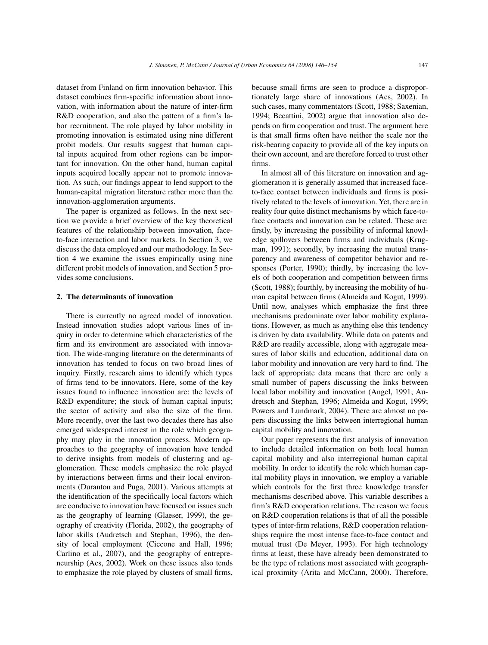dataset from Finland on firm innovation behavior. This dataset combines firm-specific information about innovation, with information about the nature of inter-firm R&D cooperation, and also the pattern of a firm's labor recruitment. The role played by labor mobility in promoting innovation is estimated using nine different probit models. Our results suggest that human capital inputs acquired from other regions can be important for innovation. On the other hand, human capital inputs acquired locally appear not to promote innovation. As such, our findings appear to lend support to the human-capital migration literature rather more than the innovation-agglomeration arguments.

The paper is organized as follows. In the next section we provide a brief overview of the key theoretical features of the relationship between innovation, faceto-face interaction and labor markets. In Section 3, we discuss the data employed and our methodology. In Section 4 we examine the issues empirically using nine different probit models of innovation, and Section 5 provides some conclusions.

#### **2. The determinants of innovation**

There is currently no agreed model of innovation. Instead innovation studies adopt various lines of inquiry in order to determine which characteristics of the firm and its environment are associated with innovation. The wide-ranging literature on the determinants of innovation has tended to focus on two broad lines of inquiry. Firstly, research aims to identify which types of firms tend to be innovators. Here, some of the key issues found to influence innovation are: the levels of R&D expenditure; the stock of human capital inputs; the sector of activity and also the size of the firm. More recently, over the last two decades there has also emerged widespread interest in the role which geography may play in the innovation process. Modern approaches to the geography of innovation have tended to derive insights from models of clustering and agglomeration. These models emphasize the role played by interactions between firms and their local environments (Duranton and Puga, 2001). Various attempts at the identification of the specifically local factors which are conducive to innovation have focused on issues such as the geography of learning (Glaeser, 1999), the geography of creativity (Florida, 2002), the geography of labor skills (Audretsch and Stephan, 1996), the density of local employment (Ciccone and Hall, 1996; Carlino et al., 2007), and the geography of entrepreneurship (Acs, 2002). Work on these issues also tends to emphasize the role played by clusters of small firms,

because small firms are seen to produce a disproportionately large share of innovations (Acs, 2002). In such cases, many commentators (Scott, 1988; Saxenian, 1994; Becattini, 2002) argue that innovation also depends on firm cooperation and trust. The argument here is that small firms often have neither the scale nor the risk-bearing capacity to provide all of the key inputs on their own account, and are therefore forced to trust other firms.

In almost all of this literature on innovation and agglomeration it is generally assumed that increased faceto-face contact between individuals and firms is positively related to the levels of innovation. Yet, there are in reality four quite distinct mechanisms by which face-toface contacts and innovation can be related. These are: firstly, by increasing the possibility of informal knowledge spillovers between firms and individuals (Krugman, 1991); secondly, by increasing the mutual transparency and awareness of competitor behavior and responses (Porter, 1990); thirdly, by increasing the levels of both cooperation and competition between firms (Scott, 1988); fourthly, by increasing the mobility of human capital between firms (Almeida and Kogut, 1999). Until now, analyses which emphasize the first three mechanisms predominate over labor mobility explanations. However, as much as anything else this tendency is driven by data availability. While data on patents and R&D are readily accessible, along with aggregate measures of labor skills and education, additional data on labor mobility and innovation are very hard to find. The lack of appropriate data means that there are only a small number of papers discussing the links between local labor mobility and innovation (Angel, 1991; Audretsch and Stephan, 1996; Almeida and Kogut, 1999; Powers and Lundmark, 2004). There are almost no papers discussing the links between interregional human capital mobility and innovation.

Our paper represents the first analysis of innovation to include detailed information on both local human capital mobility and also interregional human capital mobility. In order to identify the role which human capital mobility plays in innovation, we employ a variable which controls for the first three knowledge transfer mechanisms described above. This variable describes a firm's R&D cooperation relations. The reason we focus on R&D cooperation relations is that of all the possible types of inter-firm relations, R&D cooperation relationships require the most intense face-to-face contact and mutual trust (De Meyer, 1993). For high technology firms at least, these have already been demonstrated to be the type of relations most associated with geographical proximity (Arita and McCann, 2000). Therefore,